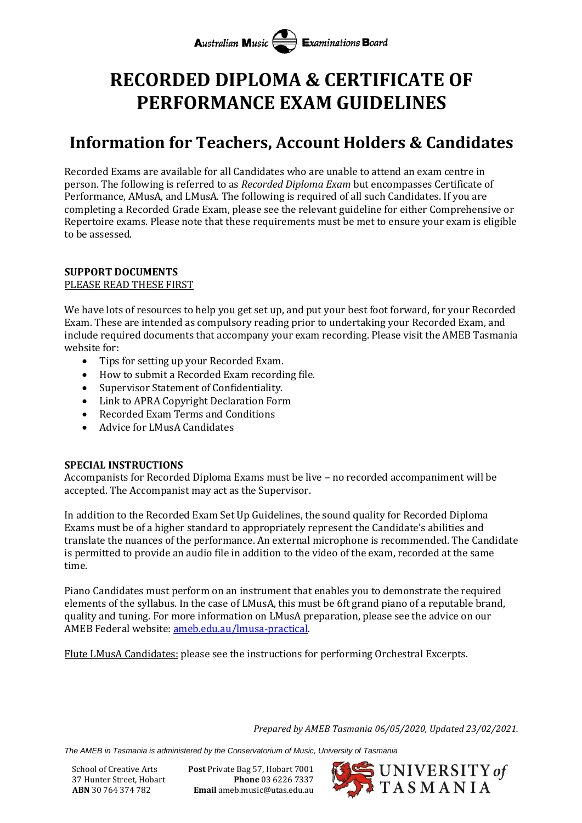# **RECORDED DIPLOMA & CERTIFICATE OF PERFORMANCE EXAM GUIDELINES**

# **Information for Teachers, Account Holders & Candidates**

Recorded Exams are available for all Candidates who are unable to attend an exam centre in person. The following is referred to as *Recorded Diploma Exam* but encompasses Certificate of Performance, AMusA, and LMusA. The following is required of all such Candidates. If you are completing a Recorded Grade Exam, please see the relevant guideline for either Comprehensive or Repertoire exams. Please note that these requirements must be met to ensure your exam is eligible to be assessed.

## **SUPPORT DOCUMENTS**

#### PLEASE READ THESE FIRST

We have lots of resources to help you get set up, and put your best foot forward, for your Recorded Exam. These are intended as compulsory reading prior to undertaking your Recorded Exam, and include required documents that accompany your exam recording. Please visit the AMEB Tasmania website for:

- Tips for setting up your Recorded Exam.
- How to submit a Recorded Exam recording file.
- Supervisor Statement of Confidentiality.
- Link to APRA Copyright Declaration Form
- Recorded Exam Terms and Conditions
- Advice for LMusA Candidates

### **SPECIAL INSTRUCTIONS**

Accompanists for Recorded Diploma Exams must be live – no recorded accompaniment will be accepted. The Accompanist may act as the Supervisor.

In addition to the Recorded Exam Set Up Guidelines, the sound quality for Recorded Diploma Exams must be of a higher standard to appropriately represent the Candidate's abilities and translate the nuances of the performance. An external microphone is recommended. The Candidate is permitted to provide an audio file in addition to the video of the exam, recorded at the same time.

Piano Candidates must perform on an instrument that enables you to demonstrate the required elements of the syllabus. In the case of LMusA, this must be 6ft grand piano of a reputable brand, quality and tuning. For more information on LMusA preparation, please see the advice on our AMEB Federal website[: ameb.edu.au/lmusa-practical.](http://www.ameb.edu.au/lmusa-practical)

Flute LMusA Candidates: please see the instructions for performing Orchestral Excerpts.

*Prepared by AMEB Tasmania 06/05/2020, Updated 23/02/2021.*

*The AMEB in Tasmania is administered by the Conservatorium of Music, University of Tasmania*

School of Creative Arts **Post** Private Bag 57, Hobart 7001 37 Hunter Street, Hobart **Phone** 03 6226 7337 **ABN** 30 764 374 782 **Email** ameb.music@utas.edu.au

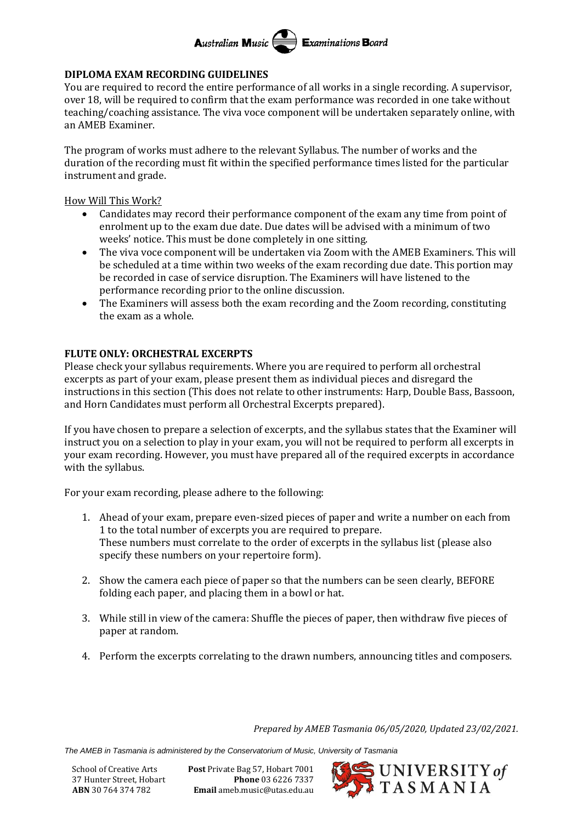

#### **DIPLOMA EXAM RECORDING GUIDELINES**

You are required to record the entire performance of all works in a single recording. A supervisor, over 18, will be required to confirm that the exam performance was recorded in one take without teaching/coaching assistance. The viva voce component will be undertaken separately online, with an AMEB Examiner.

The program of works must adhere to the relevant Syllabus. The number of works and the duration of the recording must fit within the specified performance times listed for the particular instrument and grade.

How Will This Work?

- Candidates may record their performance component of the exam any time from point of enrolment up to the exam due date. Due dates will be advised with a minimum of two weeks' notice. This must be done completely in one sitting.
- The viva voce component will be undertaken via Zoom with the AMEB Examiners. This will be scheduled at a time within two weeks of the exam recording due date. This portion may be recorded in case of service disruption. The Examiners will have listened to the performance recording prior to the online discussion.
- The Examiners will assess both the exam recording and the Zoom recording, constituting the exam as a whole.

#### **FLUTE ONLY: ORCHESTRAL EXCERPTS**

Please check your syllabus requirements. Where you are required to perform all orchestral excerpts as part of your exam, please present them as individual pieces and disregard the instructions in this section (This does not relate to other instruments: Harp, Double Bass, Bassoon, and Horn Candidates must perform all Orchestral Excerpts prepared).

If you have chosen to prepare a selection of excerpts, and the syllabus states that the Examiner will instruct you on a selection to play in your exam, you will not be required to perform all excerpts in your exam recording. However, you must have prepared all of the required excerpts in accordance with the syllabus.

For your exam recording, please adhere to the following:

- 1. Ahead of your exam, prepare even-sized pieces of paper and write a number on each from 1 to the total number of excerpts you are required to prepare. These numbers must correlate to the order of excerpts in the syllabus list (please also specify these numbers on your repertoire form).
- 2. Show the camera each piece of paper so that the numbers can be seen clearly, BEFORE folding each paper, and placing them in a bowl or hat.
- 3. While still in view of the camera: Shuffle the pieces of paper, then withdraw five pieces of paper at random.
- 4. Perform the excerpts correlating to the drawn numbers, announcing titles and composers.

*Prepared by AMEB Tasmania 06/05/2020, Updated 23/02/2021.*

*The AMEB in Tasmania is administered by the Conservatorium of Music, University of Tasmania*

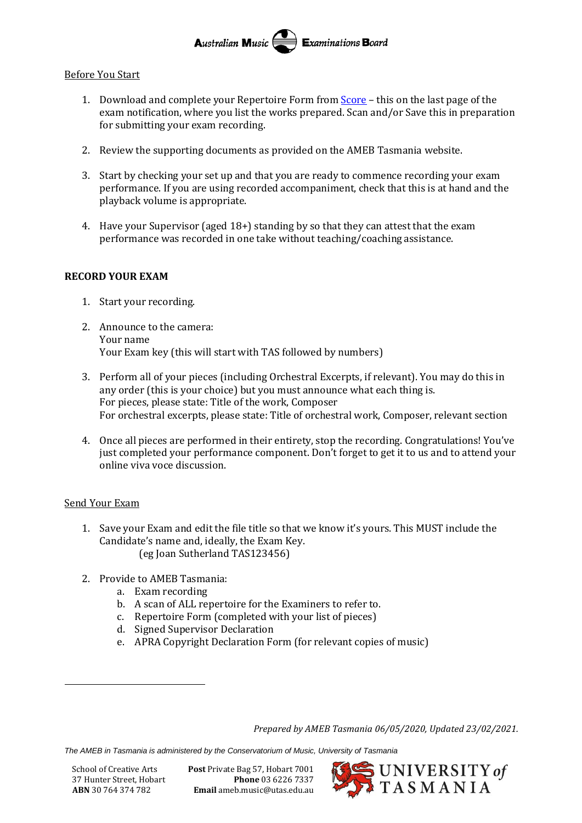#### Australian Music Examinations Board

#### Before You Start

- 1. Download and complete your Repertoire Form from [Score](https://tas.ameb.edu.au/) this on the last page of the exam notification, where you list the works prepared. Scan and/or Save this in preparation for submitting your exam recording.
- 2. Review the supporting documents as provided on the AMEB Tasmania website.
- 3. Start by checking your set up and that you are ready to commence recording your exam performance. If you are using recorded accompaniment, check that this is at hand and the playback volume is appropriate.
- 4. Have your Supervisor (aged 18+) standing by so that they can attest that the exam performance was recorded in one take without teaching/coaching assistance.

#### **RECORD YOUR EXAM**

- 1. Start your recording.
- 2. Announce to the camera: Your name Your Exam key (this will start with TAS followed by numbers)
- 3. Perform all of your pieces (including Orchestral Excerpts, if relevant). You may do this in any order (this is your choice) but you must announce what each thing is. For pieces, please state: Title of the work, Composer For orchestral excerpts, please state: Title of orchestral work, Composer, relevant section
- 4. Once all pieces are performed in their entirety, stop the recording. Congratulations! You've just completed your performance component. Don't forget to get it to us and to attend your online viva voce discussion.

#### Send Your Exam

- 1. Save your Exam and edit the file title so that we know it's yours. This MUST include the Candidate's name and, ideally, the Exam Key. (eg Joan Sutherland TAS123456)
- 2. Provide to AMEB Tasmania:
	- a. Exam recording
	- b. A scan of ALL repertoire for the Examiners to refer to.
	- c. Repertoire Form (completed with your list of pieces)
	- d. Signed Supervisor Declaration
	- e. APRA Copyright Declaration Form (for relevant copies of music)

*Prepared by AMEB Tasmania 06/05/2020, Updated 23/02/2021.*

*The AMEB in Tasmania is administered by the Conservatorium of Music, University of Tasmania*